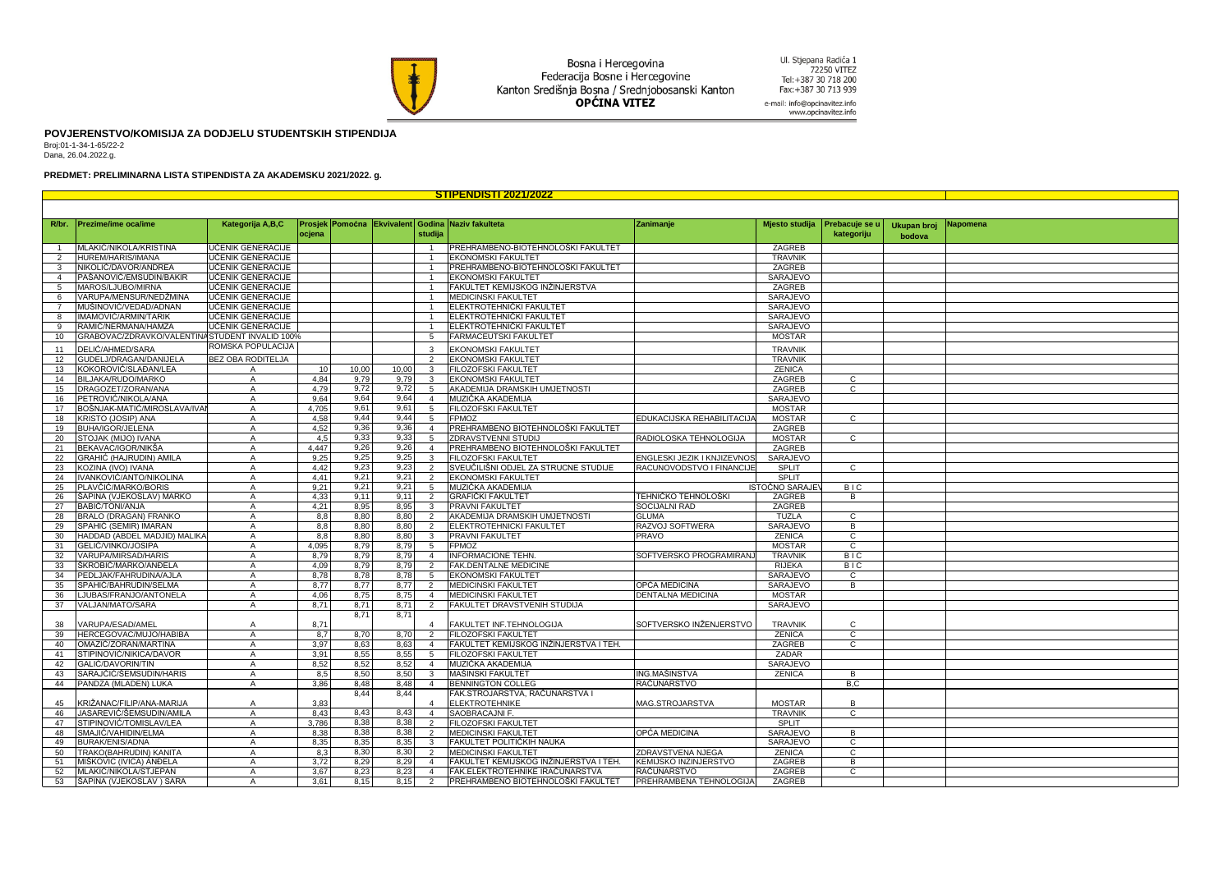

Bosna i Hercegovina<br>Federacija Bosne i Hercegovine Kanton Središnja Bosna / Srednjobosanski Kanton<br> **OPĆINA VITEZ** 

Ul. Stjepana Radića 1<br>72250 VITEZ<br>Tel:+387 30 718 200<br>Fax:+387 30 713 939 e-mail: info@opcinavitez.info

www.opcinavitez.info

**POVJERENSTVO/KOMISIJA ZA DODJELU STUDENTSKIH STIPENDIJA**

Broj:01-1-34-1-65/22-2 Dana, 26.04.2022.g.

## **PREDMET: PRELIMINARNA LISTA STIPENDISTA ZA AKADEMSKU 2021/2022. g.**

| <b>STIPENDISTI 2021/2022</b> |                                                 |                          |              |              |              |                |                                                   |                                             |                  |                |             |          |
|------------------------------|-------------------------------------------------|--------------------------|--------------|--------------|--------------|----------------|---------------------------------------------------|---------------------------------------------|------------------|----------------|-------------|----------|
|                              |                                                 |                          |              |              |              |                |                                                   |                                             |                  |                |             |          |
|                              |                                                 |                          |              |              |              |                |                                                   |                                             |                  |                |             |          |
| R/br.                        | Prezime/ime oca/ime                             | Kategorija A,B,C         |              |              |              |                | Prosjek Pomoćna Ekvivalent Godina Naziv fakulteta | Zanimanje                                   | Mjesto studija   | Prebacuje se u | Ukupan broj | Napomena |
|                              |                                                 |                          | ocjena       |              |              | studija        |                                                   |                                             |                  | kategoriju     | bodova      |          |
|                              | MLAKIĆ/NIKOLA/KRISTINA                          | UČENIK GENERACIJE        |              |              |              | $\overline{1}$ | PREHRAMBENO-BIOTEHNOLOŠKI FAKULTET                |                                             | ZAGREB           |                |             |          |
| $\overline{2}$               | HUREM/HARIS/IMANA                               | UČENIK GENERACIJE        |              |              |              |                | EKONOMSKI FAKULTET                                |                                             | <b>TRAVNIK</b>   |                |             |          |
| 3                            | NIKOLIĆ/DAVOR/ANDREA                            | UČENIK GENERACIJE        |              |              |              |                | PREHRAMBENO-BIOTEHNOLOŠKI FAKULTET                |                                             | ZAGREB           |                |             |          |
| $\overline{4}$               | PAŠANOVIĆ/EMSUDIN/BAKIR                         | UČENIK GENERACIJE        |              |              |              |                | <b>EKONOMSKI FAKULTET</b>                         |                                             | SARAJEVO         |                |             |          |
| 5                            | MAROS/LJUBO/MIRNA                               | UČENIK GENERACIJE        |              |              |              |                | FAKULTET KEMIJSKOG INŽINJERSTVA                   |                                             | ZAGREB           |                |             |          |
| 6                            | VARUPA/MENSUR/NEDŽMINA                          | <b>UČENIK GENERACIJE</b> |              |              |              |                | <b>MEDICINSKI FAKULTET</b>                        |                                             | SARAJEVO         |                |             |          |
| $\overline{7}$               | MUŠINOVIĆ/VEDAD/ADNAN                           | UČENIK GENERACIJE        |              |              |              |                | ELEKTROTEHNIČKI FAKULTET                          |                                             | SARAJEVO         |                |             |          |
| 8                            | IMAMOVIĆ/ARMIN/TARIK                            | UČENIK GENERACIJE        |              |              |              |                | ELEKTROTEHNIČKI FAKULTET                          |                                             | SARAJEVO         |                |             |          |
| 9                            | RAMIĆ/NERMANA/HAMZA                             | UČENIK GENERACIJE        |              |              |              |                | ELEKTROTEHNIČKI FAKULTET                          |                                             | SARAJEVO         |                |             |          |
| 10                           | GRABOVAC/ZDRAVKO/VALENTINA STUDENT INVALID 100% |                          |              |              |              | 5              | <b>FARMACEUTSKI FAKULTET</b>                      |                                             | <b>MOSTAR</b>    |                |             |          |
| 11                           | )ELIĆ/AHMED/SARA                                | ROMSKA POPULACIJA        |              |              |              | $\mathbf{3}$   | EKONOMSKI FAKULTET                                |                                             | <b>TRAVNIK</b>   |                |             |          |
| 12                           | <b>GUDELJ/DRAGAN/DANIJELA</b>                   | BEZ OBA RODITELJA        |              |              |              | $\overline{2}$ | EKONOMSKI FAKULTET                                |                                             | <b>TRAVNIK</b>   |                |             |          |
| 13                           | KOKOROVIĆ/SLAĐAN/LEA                            | A                        | 10           | 10,00        | 10,00        | $\mathbf{3}$   | <b>FILOZOFSKI FAKULTET</b>                        |                                             | <b>ZENICA</b>    |                |             |          |
| 14                           | BILJAKA/RUDO/MARKO                              | A                        | 4,84         | 9,79         | 9,79         | 3              | <b>EKONOMSKI FAKULTET</b>                         |                                             | ZAGREB           | $\mathsf{C}$   |             |          |
| 15                           | DRAGOZET/ZORAN/ANA                              | A                        | 4,79         | 9,72         | 9,72         | 5              | AKADEMIJA DRAMSKIH UMJETNOSTI                     |                                             | ZAGREB           | $\overline{c}$ |             |          |
| 16                           | PETROVIĆ/NIKOLA/ANA                             | A                        | 9,64         | 9,64         | 9,64         | $\overline{4}$ | MUZIČKA AKADEMIJA                                 |                                             | SARAJEVO         |                |             |          |
| 17                           | BOŠNJAK-MATIĆ/MIROSLAVA/IVAI                    | A                        | 4,705        | 9,61         | 9,61         | 5              | FILOZOFSKI FAKULTET                               |                                             | <b>MOSTAR</b>    |                |             |          |
| 18                           | KRISTO (JOSIP) ANA                              | A                        | 4,58         | 9,44         | 9,44         | 5              | <b>FPMOZ</b>                                      | EDUKACIJSKA REHABILITACIJA                  | <b>MOSTAR</b>    | С              |             |          |
| 19                           | BUHA/IGOR/JELENA                                | $\mathsf{A}$             | 4,52         | 9,36         | 9,36         | $\overline{4}$ | PREHRAMBENO BIOTEHNOLOŠKI FAKULTET                |                                             | ZAGREB           |                |             |          |
| 20                           | STOJAK (MIJO) IVANA                             | A                        | 4,5          | 9,33         | 9,33         | -5             | ZDRAVSTVENNI STUDIJ                               | RADIOLOSKA TEHNOLOGIJA                      | <b>MOSTAR</b>    | C              |             |          |
| 21                           | BEKAVAC/IGOR/NIKŠA                              | A                        | 4,447        | 9,26         | 9,26         | $\overline{4}$ | PREHRAMBENO BIOTEHNOLOŠKI FAKULTET                |                                             | ZAGREB           |                |             |          |
| 22                           | GRAHIĆ (HAJRUDIN) AMILA                         | $\mathsf{A}$             | 9,25         | 9,25         | 9,25         | $\mathbf{3}$   | FILOZOFSKI FAKULTET                               | ENGLESKI JEZIK I KNJIZEVNOS                 | SARAJEVO         |                |             |          |
| 23                           | KOZINA (IVO) IVANA                              | A                        | 4,42         | 9,23         | 9,23         | 2              | SVEUČILIŠNI ODJEL ZA STRUCNE STUDIJE              | RACUNOVODSTVO I FINANCIJE                   | SPLIT            | $\mathbf{C}$   |             |          |
| 24                           | IVANKOVIĆ/ANTO/NIKOLINA                         | $\mathsf{A}$             | 4.41         | 9.21         | 9,21         | 2              | <b>EKONOMSKI FAKULTET</b>                         |                                             | <b>SPLIT</b>     |                |             |          |
| 25                           | PLAVČIĆ/MARKO/BORIS                             | A<br>A                   | 9,21         | 9,21<br>9,11 | 9,21<br>9,11 | -5<br>2        | MUZIČKA AKADEMIJA<br><b>GRAFIČKI FAKULTET</b>     |                                             | ISTOČNO SARAJE\  | <b>BIC</b>     |             |          |
| 26<br>27                     | ŠAPINA (VJEKOSLAV) MARKO<br>3ABIĆ/TONI/ANJA     |                          | 4,33<br>4.21 | 8,95         | 8,95         | $\mathbf{3}$   | PRAVNI FAKULTET                                   | TEHNIČKO TEHNOLOŠKI<br><b>SOCIJALNI RAD</b> | ZAGREB<br>ZAGREB | B              |             |          |
|                              | <b>BRALO (DRAGAN) FRANKO</b>                    | $\mathsf{A}$             |              | 8,80         | 8,80         |                | AKADEMIJA DRAMSKIH UMJETNOSTI                     |                                             | <b>TUZLA</b>     | $\mathsf{C}$   |             |          |
| 28<br>29                     | SPAHIĆ (SEMIR) IMARAN                           | A<br>A                   | 8,8<br>8,8   | 8,80         | 8,80         | 2              | ELEKTROTEHNICKI FAKULTET                          | <b>GLUMA</b><br>RAZVOJ SOFTWERA             | SARAJEVO         | B              |             |          |
| 30                           | HADDAD (ABDEL MADJID) MALIKA                    | $\mathsf{A}$             | 8,8          | 8,80         | 8,80         | 3              | PRAVNI FAKULTET                                   | PRAVO                                       | <b>ZENICA</b>    | $\overline{c}$ |             |          |
| 31                           | GELIĆ/VINKO/JOSIPA                              | A                        | 4,095        | 8,79         | 8,79         | 5              | <b>FPMOZ</b>                                      |                                             | <b>MOSTAR</b>    | C              |             |          |
| 32                           | VARUPA/MIRSAD/HARIS                             | A                        | 8,79         | 8,79         | 8,79         | $\overline{4}$ | INFORMACIONE TEHN.                                | SOFTVERSKO PROGRAMIRAN.                     | <b>TRAVNIK</b>   | <b>BIC</b>     |             |          |
| 33                           | ŠKROBIĆ/MARKO/ANĐELA                            | $\mathsf{A}$             | 4,09         | 8,79         | 8,79         | 2              | <b>FAK.DENTALNE MEDICINE</b>                      |                                             | <b>RIJEKA</b>    | <b>BIC</b>     |             |          |
| 34                           | PEDLJAK/FAHRUDINA/AJLA                          | $\mathsf{A}$             | 8,78         | 8,78         | 8,78         | 5              | <b>EKONOMSKI FAKULTET</b>                         |                                             | SARAJEVO         | $\mathsf{C}$   |             |          |
| 35                           | SPAHIĆ/BAHRUDIN/SELMA                           | A                        | 8,77         | 8,77         | 8,77         | $\overline{2}$ | <b>MEDICINSKI FAKULTET</b>                        | OPĆA MEDICINA                               | SARAJEVO         | B              |             |          |
| 36                           | JUBAS/FRANJO/ANTONELA                           | A                        | 4,06         | 8,75         | 8,75         | $\overline{4}$ | <b>MEDICINSKI FAKULTET</b>                        | DENTALNA MEDICINA                           | <b>MOSTAR</b>    |                |             |          |
| 37                           | VALJAN/MATO/SARA                                | $\mathsf{A}$             | 8,71         | 8,71         | 8,71         | $\overline{2}$ | FAKULTET DRAVSTVENIH STUDIJA                      |                                             | SARAJEVO         |                |             |          |
|                              |                                                 |                          |              | 8,71         | 8,71         |                |                                                   |                                             |                  |                |             |          |
| 38                           | ARUPA/ESAD/AMEI                                 |                          | 8,71         |              |              |                | FAKULTET INF.TEHNOLOGIJA                          | SOFTVERSKO INŽENJERSTVO                     | <b>TRAVNIK</b>   | C              |             |          |
| 39                           | HERCEGOVAC/MUJO/HABIBA                          | A                        | 8,7          | 8,70         | 8,70         | 2              | FILOZOFSKI FAKULTET                               |                                             | <b>ZENICA</b>    | C              |             |          |
| 40                           | OMAZIĆ/ZORAN/MARTINA                            | $\mathsf{A}$             | 3,97         | 8,63         | 8,63         | $\overline{4}$ | FAKULTET KEMIJSKOG INŽINJERSTVA I TEH.            |                                             | ZAGREB           | $\mathbf{C}$   |             |          |
| 41                           | STIPINOVIĆ/NIKICA/DAVOR                         | A                        | 3,91         | 8,55         | 8,55         | 5              | FILOZOFSKI FAKULTET                               |                                             | ZADAR            |                |             |          |
| 42                           | GALIĆ/DAVORIN/TIN                               | $\mathsf{A}$             | 8,52         | 8,52         | 8,52         | $\overline{4}$ | MUZIČKA AKADEMIJA                                 |                                             | SARAJEVO         |                |             |          |
| 43                           | SARAJČIĆ/ŠEMSUDIN/HARIS                         | $\mathsf{A}$             | 8,5          | 8,50         | 8,50         | $\overline{3}$ | MAŠINSKI FAKULTET                                 | ING.MAŠINSTVA                               | <b>ZENICA</b>    | B              |             |          |
| 44                           | PANDZA (MLADEN) LUKA                            | $\mathsf{A}$             | 3,86         | 8,48         | 8,48         | $\overline{4}$ | <b>BENNINGTON COLLEG</b>                          | RAČUNARSTVO                                 |                  | B,C            |             |          |
|                              |                                                 |                          |              | 8,44         | 8,44         |                | FAK.STROJARSTVA, RAČUNARSTVA I                    |                                             |                  |                |             |          |
| 45                           | (RIŽANAC/FILIP/ANA-MARIJA                       | A                        | 3.83         |              |              |                | <b>ELEKTROTEHNIKE</b>                             | MAG.STROJARSTVA                             | <b>MOSTAR</b>    | R.             |             |          |
| 46                           | JASAREVIĆ/ŠEMSUDIN/AMILA                        | A                        | 8,43         | 8,43         | 8,43         | $\overline{4}$ | SAOBRACAJNI F.                                    |                                             | <b>TRAVNIK</b>   | C.             |             |          |
| 47                           | STIPINOVIĆ/TOMISLAV/LEA                         | A                        | 3,786        | 8,38         | 8,38         | $\overline{2}$ | FILOZOFSKI FAKULTET                               |                                             | SPLIT            |                |             |          |
| 48                           | SMAJIĆ/VAHIDIN/ELMA                             | Α                        | 8,38         | 8,38         | 8,38         | $\overline{2}$ | <b>MEDICINSKI FAKULTET</b>                        | OPĆA MEDICINA                               | SARAJEVO         | B              |             |          |
| 49                           | BURAK/ENIS/ADNA                                 | $\mathsf{A}$             | 8,35         | 8,35         | 8,35         | $\mathbf{3}$   | FAKULTET POLITIČKIH NAUKA                         |                                             | SARAJEVO         | С              |             |          |
| 50                           | TRAKO(BAHRUDIN) KANITA                          | A                        | 8,3          | 8,30         | 8,30         | 2              | <b>MEDICINSKI FAKULTET</b>                        | ZDRAVSTVENA NJEGA                           | <b>ZENICA</b>    | C              |             |          |
| 51                           | MIŠKOVIC (IVICA) ANĐELA                         | A                        | 3,72         | 8,29         | 8,29         | $\overline{4}$ | FAKULTET KEMIJSKOG INŽINJERSTVA I TEH.            | KEMIJSKO INZINJERSTVO                       | ZAGREB           | B              |             |          |
| 52                           | VILAKIĆ/NIKOLA/STJEPAN                          | A                        | 3,67         | 8,23         | 8,23         | $\overline{4}$ | FAK.ELEKTROTEHNIKE IRAČUNARSTVA                   | RAČUNARSTVO                                 | ZAGREB           | $\mathbf{C}$   |             |          |
| 53                           | ŠAPINA (VJEKOSLAV ) SARA                        | $\mathsf{A}$             | 3,61         | 8,15         | 8,15         | 2              | PREHRAMBENO BIOTEHNOLOŠKI FAKULTET                | PREHRAMBENA TEHNOLOGIJA                     | ZAGREB           |                |             |          |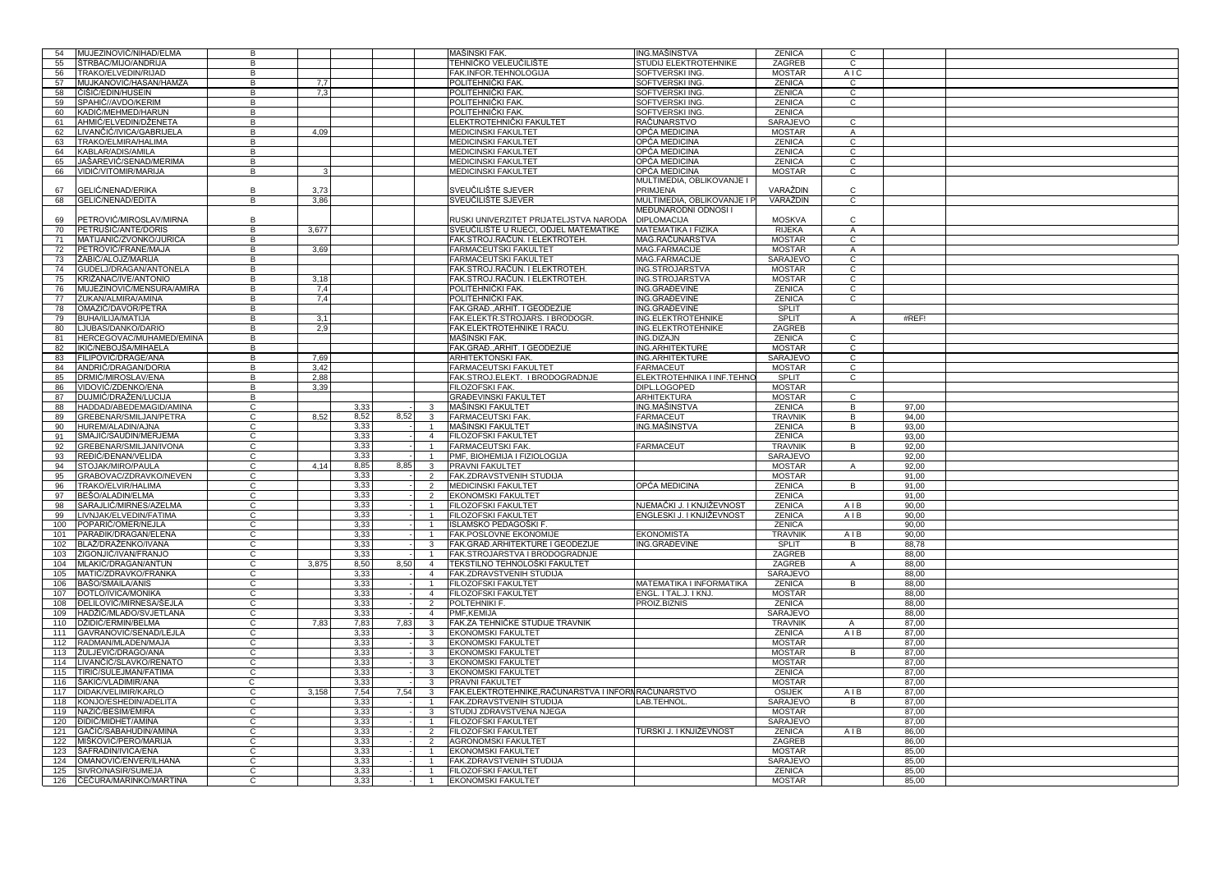| 54         | MUJEZINOVIĆ/NIHAD/ELMA                            | B                                |       |              |                          |                                  | <b>MAŠINSKI FAK</b>                                | ING.MAŠINSTVA                             | ZENICA                            | С                   |                |  |
|------------|---------------------------------------------------|----------------------------------|-------|--------------|--------------------------|----------------------------------|----------------------------------------------------|-------------------------------------------|-----------------------------------|---------------------|----------------|--|
| 55         | ŠTRBAC/MIJO/ANDRIJA                               | B                                |       |              |                          |                                  | TEHNIČKO VELEUČILIŠTE                              | <b>STUDIJ ELEKTROTEHNIKE</b>              | ZAGREB                            | $\overline{c}$      |                |  |
| 56         | TRAKO/ELVEDIN/RIJAD                               | $\overline{B}$                   |       |              |                          |                                  | FAK.INFOR.TEHNOLOGIJA                              | SOFTVERSKI ING.                           | <b>MOSTAR</b>                     | A <sub>IC</sub>     |                |  |
| 57         | MUJKANOVIĆ/HASAN/HAMZA                            | B                                | 7,7   |              |                          |                                  | POLITEHNIČKI FAK.                                  | SOFTVERSKI ING.                           | <b>ZENICA</b>                     | $\overline{c}$      |                |  |
| 58         | ČIŠIĆ/EDIN/HUSEIN                                 | B                                | 7,3   |              |                          |                                  | POLITEHNIČKI FAK.                                  | SOFTVERSKI ING.                           | <b>ZENICA</b>                     | $\mathsf{C}$        |                |  |
| 59         | SPAHIĆ//AVDO/KERIM                                | B                                |       |              |                          |                                  | POLITEHNIČKI FAK.                                  | SOFTVERSKI ING.                           | <b>ZENICA</b>                     | $\mathsf{C}$        |                |  |
| 60         | KADIĆ/MEHMED/HARUN                                | B                                |       |              |                          |                                  | POLITEHNIČKI FAK.                                  | SOFTVERSKI ING.                           | <b>ZENICA</b>                     |                     |                |  |
| 61         | AHMIĆ/ELVEDIN/DŽENETA                             | B                                |       |              |                          |                                  | ELEKTROTEHNIČKI FAKULTET                           | RAČUNARSTVO                               | SARAJEVO                          | $\mathsf{C}$        |                |  |
| 62         | IVANČIĆ/IVICA/GABRIJELA                           | B                                | 4.09  |              |                          |                                  | <b>MEDICINSKI FAKULTET</b>                         | OPĆA MEDICINA                             | <b>MOSTAR</b>                     | $\mathsf A$         |                |  |
| 63         | TRAKO/ELMIRA/HALIMA                               | B                                |       |              |                          |                                  | <b>MEDICINSKI FAKULTET</b>                         | OPĆA MEDICINA                             | <b>ZENICA</b>                     | $\mathsf{C}$        |                |  |
| 64         | KABLAR/ADIS/AMILA                                 | B                                |       |              |                          |                                  | <b>MEDICINSKI FAKULTET</b>                         | OPĆA MEDICINA                             | <b>ZENICA</b>                     | $\mathbf{C}$        |                |  |
| 65         | JAŠAREVIĆ/SENAD/MERIMA                            | B                                |       |              |                          |                                  | <b>MEDICINSKI FAKULTET</b>                         | OPĆA MEDICINA                             | <b>ZENICA</b>                     | $\mathsf{C}$        |                |  |
| 66         | VIDIĆ/VITOMIR/MARIJA                              | B                                |       |              |                          |                                  | <b>MEDICINSKI FAKULTET</b>                         | OPĆA MEDICINA                             | <b>MOSTAR</b>                     | $\mathsf{C}$        |                |  |
|            |                                                   |                                  |       |              |                          |                                  |                                                    | MULTIMEDIA, OBLIKOVANJE I                 |                                   |                     |                |  |
| 67         | 3ELIĆ/NENAD/ERIKA                                 | B                                | 3,73  |              |                          |                                  | SVEUČILIŠTE SJEVER                                 | PRIMJENA                                  | VARAŽDIN                          | C                   |                |  |
| 68         | GELIĆ/NENAD/EDITA                                 | B                                | 3,86  |              |                          |                                  | SVEUČILIŠTE SJEVER                                 | MULTIMEDIA, OBLIKOVANJE I F               | VARAŽDIN                          | $\mathsf{C}$        |                |  |
|            |                                                   |                                  |       |              |                          |                                  |                                                    | MEĐUNARODNI ODNOSI I                      |                                   |                     |                |  |
| 69         | PETROVIĆ/MIROSLAV/MIRNA                           | B                                |       |              |                          |                                  | RUSKI UNIVERZITET PRIJATELJSTVA NARODA             | <b>DIPLOMACIJA</b>                        | <b>MOSKVA</b>                     | C                   |                |  |
| 70         | PETRUŠIĆ/ANTE/DORIS                               | B                                | 3,677 |              |                          |                                  | SVEUČILIŠTE U RIJECI, ODJEL MATEMATIKE             | <b>MATEMATIKA I FIZIKA</b>                | <b>RIJEKA</b>                     | $\overline{A}$      |                |  |
| 71         | MATIJANIĆ/ZVONKO/JURICA                           | B                                |       |              |                          |                                  | FAK.STROJ.RAČUN. I ELEKTROTEH.                     | MAG.RAČUNARSTVA                           | <b>MOSTAR</b>                     | $\mathbf{C}$        |                |  |
| 72         | PETROVIĈ/FRANE/MAJA                               | В                                | 3,69  |              |                          |                                  | FARMACEUTSKI FAKULTET                              | MAG.FARMACIJE                             | <b>MOSTAR</b>                     | A                   |                |  |
| 73         | ŽABIĆ/ALOJZ/MARIJA                                | B                                |       |              |                          |                                  | <b>FARMACEUTSKI FAKULTET</b>                       | MAG.FARMACIJE                             | SARAJEVO                          | C                   |                |  |
| 74         | GUDELJ/DRAGAN/ANTONELA                            | В                                |       |              |                          |                                  | FAK.STROJ.RAČUN. I ELEKTROTEH.                     | ING.STROJARSTVA                           | <b>MOSTAR</b>                     | C                   |                |  |
| 75         | KRIŽANAC/IVE/ANTONIO                              | В                                | 3,18  |              |                          |                                  | FAK.STROJ.RAČUN. I ELEKTROTEH.                     | ING.STROJARSTVA                           | <b>MOSTAR</b>                     | C                   |                |  |
| 76         | MUJEZINOVIĆ/MENSURA/AMIRA                         | В                                | 7,4   |              |                          |                                  | POLITEHNIČKI FAK.                                  | ING.GRAĐEVINE                             | ZENICA                            | C                   |                |  |
| 77         | ZUKAN/ALMIRA/AMINA                                | В                                | 7,4   |              |                          |                                  | POLITEHNIČKI FAK                                   | ING.GRAĐEVINE                             | ZENICA                            | C                   |                |  |
| 78         | OMAZIĆ/DAVOR/PETRA                                | В                                |       |              |                          |                                  | FAK.GRAĐ., ARHIT. I GEODEZIJE                      | ING.GRAĐEVINE                             | <b>SPLIT</b>                      |                     |                |  |
| 79         | BUHA/ILIJA/MATIJA                                 | B                                | 3,1   |              |                          |                                  | FAK.ELEKTR.STROJARS. I BRODOGR.                    | ING.ELEKTROTEHNIKE                        | SPLIT                             | A                   | #REF!          |  |
| 80         | LJUBAS/DANKO/DARIO                                | B                                | 2,9   |              |                          |                                  | FAK.ELEKTROTEHNIKE I RAČU.                         | ING.ELEKTROTEHNIKE                        | ZAGREB                            |                     |                |  |
| 81         |                                                   |                                  |       |              |                          |                                  | MAŠINSKI FAK                                       |                                           |                                   |                     |                |  |
|            | HERCEGOVAC/MUHAMED/EMINA                          | В                                |       |              |                          |                                  |                                                    | ING.DIZAJN                                | ZENICA                            | C                   |                |  |
| 82         | IKIĆ/NEBOJŠA/MIHAELA                              | В                                |       |              |                          |                                  | FAK.GRAD., ARHIT. I GEODEZIJE                      | ING.ARHITEKTURE                           | <b>MOSTAR</b>                     | C                   |                |  |
| 83         | FILIPOVIĆ/DRAGE/ANA                               | В<br>B                           | 7,69  |              |                          |                                  | ARHITEKTONSKI FAK.                                 | <b>ING.ARHITEKTURE</b>                    | SARAJEVO                          | С                   |                |  |
| 84         | ANDRIĆ/DRAGAN/DORIA                               |                                  | 3,42  |              |                          |                                  | FARMACEUTSKI FAKULTET                              | <b>FARMACEUT</b>                          | <b>MOSTAR</b>                     | С                   |                |  |
| 85         | DRMIĆ/MIROSLAV/ENA                                | В                                | 2,88  |              |                          |                                  | FAK.STROJ.ELEKT. I BRODOGRADNJE                    | ELEKTROTEHNIKA I INF.TEHNO                | SPLIT                             | C                   |                |  |
| 86<br>87   | /IDOVIĆ/ZDENKO/ENA                                | В<br>$\overline{B}$              | 3,39  |              |                          |                                  | FILOZOFSKI FAK.                                    | DIPL.LOGOPED                              | <b>MOSTAR</b>                     |                     |                |  |
| 88         | DUJMIĆ/DRAŽEN/LUCIJA                              |                                  |       |              |                          |                                  | <b>GRAĐEVINSKI FAKULTET</b>                        | ARHITEKTURA                               | <b>MOSTAR</b>                     | $\overline{c}$      |                |  |
| 89         | HADDAD/ABEDEMAGID/AMINA<br>GREBENAR/SMILJAN/PETRA | $\overline{c}$<br>$\overline{c}$ |       | 3,33         |                          | 3<br>$\overline{3}$              | MAŠINSKI FAKULTET<br><b>FARMACEUTSKI FAK</b>       | ING.MAŠINSTVA<br>FARMACEUT                | <b>ZENICA</b><br><b>TRAVNIK</b>   | $\overline{B}$<br>B | 97,00<br>94,00 |  |
| 90         | HUREM/ALADIN/AJNA                                 |                                  | 8,52  | 8,52         | 8,52                     | $\overline{1}$                   | MAŠINSKI FAKULTET                                  | ING.MAŠINSTVA                             | <b>ZENICA</b>                     | B                   | 93,00          |  |
| 91         | SMAJIĆ/SAUDIN/MERJEMA                             | C<br>$\mathsf{C}$                |       | 3,33<br>3.33 |                          | $\overline{4}$                   | <b>FILOZOFSKI FAKULTET</b>                         |                                           | <b>ZENICA</b>                     |                     | 93.00          |  |
|            |                                                   |                                  |       |              |                          |                                  |                                                    | <b>FARMACEUT</b>                          |                                   |                     |                |  |
| 92         | GREBENAR/SMILJAN/IVONA<br>REĐIĆ/ĐENAN/VELIDA      | C<br>C                           |       | 3,33         |                          | $\overline{1}$                   | FARMACEUTSKI FAK.<br>PMF, BIOHEMIJA I FIZIOLOGIJA  |                                           | <b>TRAVNIK</b><br><b>SARAJEVO</b> | B                   | 92,00          |  |
| 93         |                                                   | C                                |       | 3.33<br>8.85 |                          |                                  |                                                    |                                           | <b>MOSTAR</b>                     |                     | 92.00          |  |
| 94         | STOJAK/MIRO/PAULA<br>GRABOVAC/ZDRAVKO/NEVEN       | C                                | 4.14  |              | 8,85                     | 3                                | PRAVNI FAKULTET<br>FAK.ZDRAVSTVENIH STUDIJA        |                                           | <b>MOSTAR</b>                     | A                   | 92.00          |  |
| 95         |                                                   |                                  |       | 3,33         |                          | 2                                |                                                    |                                           |                                   |                     | 91.00          |  |
| 96         | TRAKO/ELVIR/HALIMA                                | C                                |       | 3,33         |                          | $\overline{2}$                   | <b>MEDICINSKI FAKULTET</b>                         | OPĆA MEDICINA                             | <b>ZENICA</b>                     | B                   | 91.00          |  |
| 97         | BEŠO/ALADIN/ELMA                                  | C                                |       | 3,33         |                          | $\overline{2}$<br>$\overline{1}$ | <b>EKONOMSKI FAKULTET</b>                          | NJEMAČKI J. I KNJIŽEVNOST                 | <b>ZENICA</b>                     |                     | 91.00          |  |
| 98<br>99   | SARAJLIĆ/MIRNES/AZELMA<br>IVNJAK/ELVEDIN/FATIMA   | C<br>C                           |       | 3,33<br>3,33 | $\overline{1}$           |                                  | FILOZOFSKI FAKULTET<br>FILOZOFSKI FAKULTET         | ENGLESKI J. I KNJIŽEVNOST                 | ZENICA<br>ZENICA                  | AIB<br>AIB          | 90.00<br>90.00 |  |
|            |                                                   |                                  |       |              |                          |                                  |                                                    |                                           |                                   |                     |                |  |
| 100<br>101 | POPARIĆ/OMER/NEJLA                                | C<br>$\mathsf{C}$                |       | 3,33         |                          |                                  | ISLAMSKO PEDAGOŠKI F                               |                                           | <b>ZENICA</b>                     |                     | 90,00          |  |
| 102        | PARAĐIK/DRAGAN/ELENA                              | C                                |       | 3,33         |                          | $\mathbf{R}$                     | FAK.POSLOVNE EKONOMIJE                             | <b>EKONOMISTA</b><br><b>ING.GRAĐEVINE</b> | <b>TRAVNIK</b>                    | AIB                 | 90,00          |  |
|            | BLAŽ/DRAŽENKO/IVANA                               | C                                |       | 3,33         |                          |                                  | FAK.GRAÐ.ARHITEKTURE I GEODEZIJE                   |                                           | SPLIT                             | B                   | 88,78          |  |
| 103        | ŽIGONJIĆ/IVAN/FRANJO                              |                                  |       | 3,33         |                          |                                  | FAK.STROJARSTVA I BRODOGRADNJE                     |                                           | ZAGREB                            |                     | 88,00          |  |
| 104        | MLAKIĆ/DRAGAN/ANTUN                               | C                                | 3,875 | 8,50         | 8,50                     | $\overline{4}$                   | TEKSTILNO TEHNOLOŠKI FAKULTET                      |                                           | ZAGREB                            | A                   | 88,00          |  |
| 105        | MATIĆ/ZDRAVKO/FRANKA                              | C<br>$\mathsf{C}$                |       | 3,33         |                          | $\overline{4}$<br>$\overline{1}$ | FAK.ZDRAVSTVENIH STUDIJA                           |                                           | SARAJEVO                          |                     | 88,00          |  |
| 106        | BAŠO/SMAILA/ANIS                                  |                                  |       | 3,33         |                          |                                  | FILOZOFSKI FAKULTET                                | MATEMATIKA I INFORMATIKA                  | ZENICA                            | B                   | 88,00          |  |
| 107        | ĐOTLO/IVICA/MONIKA                                | C                                |       | 3,33         |                          | $\overline{4}$                   | FILOZOFSKI FAKULTET                                | ENGL. I TAL.J. I KNJ.                     | <b>MOSTAR</b>                     |                     | 88,00          |  |
| 108        | ĐELILOVIĆ/MIRNESA/ŠEJLA                           | $\mathsf{C}$                     |       | 3,33         |                          | $\overline{2}$                   | POLTEHNIKI F.                                      | PROIZ.BIZNIS                              | ZENICA                            |                     | 88,00          |  |
| 109        | HADŽIĆ/MLAĐO/SVJETLANA                            | $\mathsf{C}$                     |       | 3,33         |                          | $\overline{4}$                   | PMF, KEMIJA                                        |                                           | SARAJEVO                          |                     | 88,00          |  |
| 110        | DŽIDIĆ/ERMIN/BELMA                                | $\mathsf{C}$<br>$\overline{C}$   | 7,83  | 7,83         | 7,83                     | $\mathbf{3}$                     | FAK.ZA TEHNIČKE STUDIJE TRAVNIK                    |                                           | <b>TRAVNIK</b>                    | A                   | 87,00          |  |
| 111        | GAVRANOVIĆ/SENAD/LEJLA                            | $\mathsf{C}$                     |       | 3,33         | $\overline{\phantom{0}}$ | $\overline{3}$<br>$\mathbf{3}$   | <b>EKONOMSKI FAKULTET</b>                          |                                           | <b>ZENICA</b><br><b>MOSTAR</b>    | AIB                 | 87,00<br>87,00 |  |
| 112        |                                                   |                                  |       |              |                          |                                  | <b>EKONOMSKI FAKULTET</b>                          |                                           |                                   |                     |                |  |
| 113        | RADMAN/MLADEN/MAJA                                |                                  |       | 3,33         | $\overline{a}$           |                                  |                                                    |                                           |                                   |                     |                |  |
|            | ŽULJEVIĆ/DRAGO/ANA                                | $\mathsf{C}$                     |       | 3,33         | $\mathbf{E}$             | $\mathbf{3}$                     | <b>EKONOMSKI FAKULTET</b>                          |                                           | <b>MOSTAR</b>                     | B                   | 87,00          |  |
| 114        | LIVANČIĆ/SLAVKO/RENATO                            | $\mathsf{C}$                     |       | 3,33         | $\overline{\phantom{a}}$ | $\mathbf{3}$                     | <b>EKONOMSKI FAKULTET</b>                          |                                           | <b>MOSTAR</b>                     |                     | 87,00          |  |
| 115        | TIRIĆ/SULEJMAN/FATIMA                             | $\overline{C}$                   |       | 3,33         | $\overline{\phantom{a}}$ | 3                                | <b>EKONOMSKI FAKULTET</b>                          |                                           | <b>ZENICA</b>                     |                     | 87,00          |  |
| 116        | ŠAKIĆ/VLADIMIR/ANA                                | $\mathsf{C}$                     |       | 3,33         | $\mathbf{I}$             | $\mathbf{3}$                     | PRAVNI FAKULTET                                    |                                           | <b>MOSTAR</b>                     |                     | 87,00          |  |
| 117        | DIDAK/VELIMIR/KARLO                               | $\overline{c}$                   | 3.158 | 7,54         | 7,54                     | $\overline{\mathbf{3}}$          | FAK.ELEKTROTEHNIKE,RAČUNARSTVA I INFORNRAČUNARSTVO |                                           | <b>OSIJEK</b>                     | AIB                 | 87,00          |  |
| 118        | KONJO/ESHEDIN/ADELITA                             | $\overline{c}$                   |       | 3,33         | $\overline{a}$           | $\overline{1}$                   | FAK.ZDRAVSTVENIH STUDIJA                           | LAB.TEHNOL                                | SARAJEVO                          | $\overline{B}$      | 87,00          |  |
| 119        | NAZIĆ/BESIM/EMIRA                                 | $\overline{c}$                   |       | 3,33         | $\mathbf{I}$             | $\mathcal{R}$                    | STUDIJ ZDRAVSTVENA NJEGA                           |                                           | <b>MOSTAR</b>                     |                     | 87,00          |  |
| 120        | ĐIDIĆ/MIDHET/AMINA                                | $\overline{c}$                   |       | 3,33         |                          | $\overline{1}$                   | FILOZOFSKI FAKULTET                                |                                           | SARAJEVO                          |                     | 87,00          |  |
| 121        | GAČIĆ/SABAHUDIN/AMINA                             | $\mathbf{C}$                     |       | 3,33         |                          | $\overline{2}$                   | FILOZOFSKI FAKULTET                                | TURSKI J. I KNJIŽEVNOST                   | ZENICA                            | AIB                 | 86,00          |  |
| 122        | MIŠKOVIĆ/PERO/MARIJA                              | $\mathbf{C}$                     |       | 3,33         |                          | $\mathfrak{D}$                   | <b>AGRONOMSKI FAKULTET</b>                         |                                           | ZAGREB                            |                     | 86,00          |  |
| 123        | ŠAFRADIN/IVICA/ENA                                | $\mathsf{C}$                     |       | 3,33         | $\overline{1}$           |                                  | EKONOMSKI FAKULTET                                 |                                           | <b>MOSTAR</b>                     |                     | 85,00          |  |
| 124        | OMANOVIĆ/ENVER/ILHANA                             | $\mathsf{C}$                     |       | 3,33         |                          |                                  | FAK.ZDRAVSTVENIH STUDIJA                           |                                           | SARAJEVO                          |                     | 85,00          |  |
| 125<br>126 | SIVRO/NASIR/SUMEJA<br>ČEČURA/MARINKO/MARTINA      | $\mathsf{C}$<br>$\mathsf{C}$     |       | 3,33<br>3.33 | $\overline{1}$           | $\blacktriangleleft$             | FILOZOFSKI FAKULTET<br><b>EKONOMSKI FAKULTET</b>   |                                           | <b>ZENICA</b><br><b>MOSTAR</b>    |                     | 85,00<br>85.00 |  |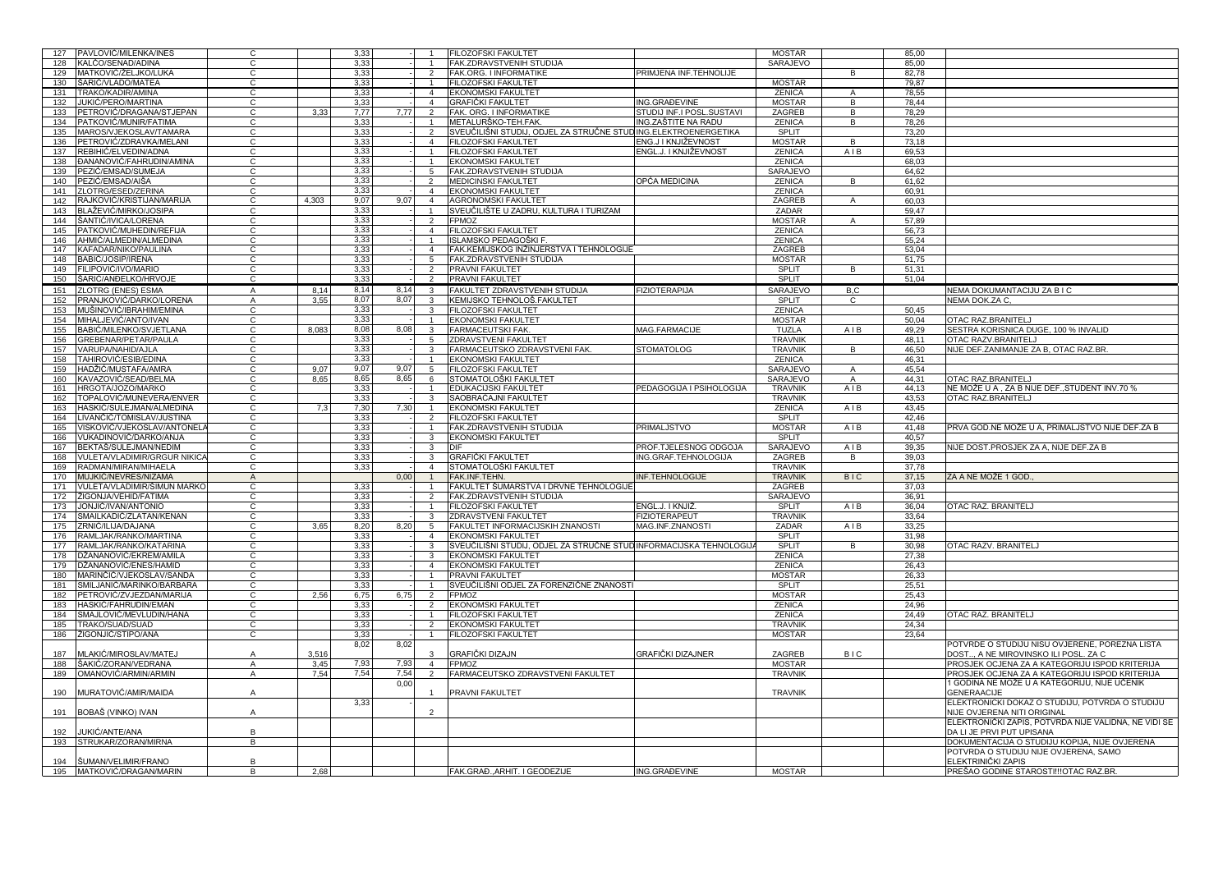|            | PAVLOVIĆ/MILENKA/INES                        | C              |       | 3,33 |                  |                          | <b>FILOZOFSKI FAKULTET</b>                                         |                           | <b>MOSTAR</b>  |                | 85,00 |                                                             |
|------------|----------------------------------------------|----------------|-------|------|------------------|--------------------------|--------------------------------------------------------------------|---------------------------|----------------|----------------|-------|-------------------------------------------------------------|
| 127<br>128 | KALČO/SENAD/ADINA                            | C              |       | 3,33 |                  |                          | FAK.ZDRAVSTVENIH STUDIJA                                           |                           | SARAJEVO       |                | 85,00 |                                                             |
|            |                                              |                |       |      |                  |                          |                                                                    |                           |                |                |       |                                                             |
| 129        | MATKOVIĆ/ŽELJKO/LUKA                         | C              |       | 3,33 |                  | $\overline{2}$           | FAK.ORG. I INFORMATIKE                                             | PRIMJENA INF.TEHNOLIJE    |                | B.             | 82,78 |                                                             |
| 130        | ŠARIĆ/VLADO/MATEA                            |                |       | 3,33 |                  |                          | <b>FILOZOFSKI FAKULTET</b>                                         |                           | <b>MOSTAR</b>  |                | 79,87 |                                                             |
| 131        | TRAKO/KADIR/AMINA                            | C              |       | 3,33 |                  | $\overline{a}$           | <b>EKONOMSKI FAKULTET</b>                                          |                           | <b>ZENICA</b>  | $\overline{A}$ | 78,55 |                                                             |
| 132        | JUKIĆ/PERO/MARTINA                           | C              |       | 3,33 |                  | $\overline{4}$           | <b>GRAFIČKI FAKULTET</b>                                           | ING.GRAĐEVINE             | <b>MOSTAR</b>  | B              | 78,44 |                                                             |
| 133        | PETROVIĆ/DRAGANA/STJEPAN                     | C              | 3,33  | 7,77 | 7,77             | $\overline{2}$           | <b>FAK. ORG. I INFORMATIKE</b>                                     | STUDIJ INF.I POSL.SUSTAVI | ZAGREB         | B              | 78,29 |                                                             |
| 134        | PATKOVIĆ/MUNIR/FATIMA                        | С              |       | 3,33 |                  |                          | METALURŠKO-TEH.FAK                                                 | ING.ZAŠTITE NA RADU       | <b>ZENICA</b>  | B              | 78,26 |                                                             |
|            |                                              |                |       |      |                  |                          |                                                                    |                           |                |                |       |                                                             |
| 135        | MAROS/VJEKOSLAV/TAMARA                       | C              |       | 3,33 |                  | $\overline{2}$           | SVEUČILIŠNI STUDIJ, ODJEL ZA STRUČNE STUDING ELEKTROENERGETIKA     |                           | SPLIT          |                | 73,20 |                                                             |
| 136        | PETROVIĆ/ZDRAVKA/MELANI                      | C              |       | 3,33 |                  | $\overline{4}$           | <b>FILOZOFSKI FAKULTET</b>                                         | ENG.J I KNJIŽEVNOST       | <b>MOSTAR</b>  | $\mathsf{R}$   | 73.18 |                                                             |
| 137        | REBIHIĆ/ELVEDIN/ADNA                         | C              |       | 3,33 |                  |                          | <b>FILOZOFSKI FAKULTET</b>                                         | ENGL.J. I KNJIŽEVNOST     | <b>ZENICA</b>  | AIB            | 69.53 |                                                             |
| 138        | ĐANANOVIĆ/FAHRUDIN/AMINA                     | C              |       | 3,33 |                  |                          | <b>EKONOMSKI FAKULTET</b>                                          |                           | <b>ZENICA</b>  |                | 68.03 |                                                             |
| 139        | PEZIC/EMSAD/SUMEJA                           | C              |       | 3,33 |                  | $5^{\circ}$              | FAK.ZDRAVSTVENIH STUDIJA                                           |                           | SARAJEVO       |                | 64.62 |                                                             |
|            |                                              |                |       | 3,33 |                  |                          |                                                                    |                           |                |                |       |                                                             |
| 140        | PEZIĆ/EMSAD/AIŠA                             | С              |       |      |                  | $\overline{2}$           | MEDICINSKI FAKULTET                                                | OPĆA MEDICINA             | <b>ZENICA</b>  | B              | 61,62 |                                                             |
| 141        | ZLOTRG/ESED/ZERINA                           | C              |       | 3,33 |                  | $\overline{4}$           | EKONOMSKI FAKULTET                                                 |                           | <b>ZENICA</b>  |                | 60,91 |                                                             |
| 142        | RAJKOVIĆ/KRISTIJAN/MARIJA                    | C              | 4.303 | 9.07 | 9,07             | $\overline{4}$           | AGRONOMSKI FAKULTET                                                |                           | ZAGREB         | $\mathsf{A}$   | 60.03 |                                                             |
| 143        | BLAŽEVIĆ/MIRKO/JOSIPA                        | C              |       | 3,33 |                  |                          | SVEUČILIŠTE U ZADRU, KULTURA I TURIZAM                             |                           | ZADAR          |                | 59.47 |                                                             |
| 144        | ŠANTIĆ/IVICA/LORENA                          | C              |       | 3,33 |                  | $\overline{2}$           | <b>FPMOZ</b>                                                       |                           | <b>MOSTAR</b>  | A              | 57,89 |                                                             |
|            |                                              | C              |       |      |                  |                          |                                                                    |                           |                |                |       |                                                             |
| 145        | PATKOVIĆ/MUHEDIN/REFIJA                      |                |       | 3,33 |                  | $\overline{4}$           | <b>FILOZOFSKI FAKULTET</b>                                         |                           | <b>ZENICA</b>  |                | 56,73 |                                                             |
| 146        | AHMIĆ/ALMEDIN/ALMEDINA                       | C.             |       | 3,33 |                  | $\mathbf{1}$             | ISLAMSKO PEDAGOŠKI F.                                              |                           | <b>ZENICA</b>  |                | 55,24 |                                                             |
| 147        | KAFADAR/NIKO/PAULINA                         | C              |       | 3,33 |                  | $\mathbf{4}$             | FAK.KEMIJSKOG INŽINJERSTVA I TEHNOLOGIJE                           |                           | ZAGREB         |                | 53,04 |                                                             |
| 148        | BABIĆ/JOSIP/IRENA                            | C.             |       | 3,33 |                  | 5                        | FAK.ZDRAVSTVENIH STUDIJA                                           |                           | <b>MOSTAR</b>  |                | 51,75 |                                                             |
| 149        | FILIPOVIĆ/IVO/MARIO                          | C.             |       | 3,33 |                  | $\overline{2}$           | PRAVNI FAKULTET                                                    |                           | SPLIT          | B              | 51,31 |                                                             |
|            |                                              |                |       | 3.33 |                  |                          |                                                                    |                           |                |                |       |                                                             |
| 150        | ŠARIĆ/ANĐELKO/HRVOJE                         | C              |       |      |                  | 2                        | <b>PRAVNI FAKULTET</b>                                             |                           | SPLIT          |                | 51,04 |                                                             |
| 151        | ZLOTRG (ENES) ESMA                           | A              | 8.14  | 8,14 | 8,14             | 3                        | <b>FAKULTET ZDRAVSTVENIH STUDIJA</b>                               | <b>FIZIOTERAPIJA</b>      | SARAJEVO       | B,C            |       | NEMA DOKUMANTACIJU ZA B I C                                 |
| 152        | PRANJKOVIĆ/DARKO/LORENA                      | A              | 3,55  | 8,07 | 8,07             | 3                        | KEMIJSKO TEHNOLOŠ.FAKULTET                                         |                           | SPLIT          | C              |       | NEMA DOK.ZA C,                                              |
| 153        | MUŠINOVIĆ/IBRAHIM/EMINA                      | C              |       | 3,33 |                  | 3                        | <b>FILOZOFSKI FAKULTET</b>                                         |                           | <b>ZENICA</b>  |                | 50,45 |                                                             |
|            | MIHALJEVIĆ/ANTO/IVAN                         | C.             |       | 3,33 |                  |                          | <b>EKONOMSKI FAKULTET</b>                                          |                           | <b>MOSTAR</b>  |                | 50,04 | OTAC RAZ.BRANITELJ                                          |
| 154        |                                              |                |       |      |                  |                          |                                                                    |                           |                |                |       |                                                             |
| 155        | BABIĆ/MILENKO/SVJETLANA                      | C.             | 8,083 | 8,08 | 8,08             | 3                        | <b>FARMACEUTSKI FAK</b>                                            | MAG.FARMACIJE             | <b>TUZLA</b>   | AIB            | 49,29 | SESTRA KORISNICA DUGE, 100 % INVALID                        |
| 156        | GREBENAR/PETAR/PAULA                         | C.             |       | 3,33 |                  | 5                        | <b>ZDRAVSTVENI FAKULTET</b>                                        |                           | <b>TRAVNIK</b> |                | 48,11 | OTAC RAZV.BRANITELJ                                         |
| 157        | VARUPA/NAHID/AJLA                            | C.             |       | 3,33 |                  | 3                        | FARMACEUTSKO ZDRAVSTVENI FAK.                                      | <b>STOMATOLOG</b>         | <b>TRAVNIK</b> | B.             | 46,50 | NIJE DEF.ZANIMANJE ZA B, OTAC RAZ.BR.                       |
| 158        | TAHIROVIĆ/ESIB/EDINA                         | C.             |       | 3,33 |                  |                          | <b>EKONOMSKI FAKULTET</b>                                          |                           | <b>ZENICA</b>  |                | 46,31 |                                                             |
|            |                                              | C.             |       |      |                  |                          |                                                                    |                           |                | $\overline{A}$ |       |                                                             |
| 159        | HADŽIĆ/MUSTAFA/AMRA                          |                | 9,07  | 9,07 | 9,07             | 5                        | <b>FILOZOFSKI FAKULTET</b>                                         |                           | SARAJEVO       |                | 45,54 |                                                             |
| 160        | KAVAZOVIĆ/SEAD/BELMA                         | C              | 8,65  | 8,65 | 8,65             | 6                        | STOMATOLOŠKI FAKULTET                                              |                           | SARAJEVO       | $\overline{A}$ | 44,31 | OTAC RAZ.BRANITELJ                                          |
| 161        | HRGOTA/JOZO/MARKO                            | C.             |       | 3,33 |                  |                          | <b>EDUKACIJSKI FAKULTET</b>                                        | PEDAGOGIJA I PSIHOLOGIJA  | <b>TRAVNIK</b> | AIB            | 44,13 | NE MOŽE U A, ZA B NIJE DEF., STUDENT INV.70 %               |
| 162        | TOPALOVIĆ/MUNEVERA/ENVER                     | C              |       | 3,33 |                  | 3                        | SAOBRAĆAJNI FAKULTET                                               |                           | <b>TRAVNIK</b> |                | 43.53 | OTAC RAZ.BRANITELJ                                          |
| 163        | HASKIĆ/SULEJMAN/ALMEDINA                     | C              | 7.3   | 7,30 | 7,30             |                          | <b>EKONOMSKI FAKULTET</b>                                          |                           | <b>ZENICA</b>  | AIB            | 43.45 |                                                             |
| 164        |                                              | C              |       |      |                  | $\overline{2}$           |                                                                    |                           |                |                | 42.46 |                                                             |
|            | LIVANČIĆ/TOMISLAV/JUSTINA                    |                |       | 3,33 |                  |                          | FILOZOFSKI FAKULTET                                                |                           | SPLIT          |                |       |                                                             |
| 165        | /ISKOVIĆ/VJEKOSLAV/ANTONEL/                  | C              |       | 3,33 |                  |                          | FAK.ZDRAVSTVENIH STUDIJA                                           | PRIMALJSTVO               | <b>MOSTAR</b>  | AIB            | 41.48 | PRVA GOD.NE MOŽE U A, PRIMALJSTVO NIJE DEF.ZA B             |
|            | VUKADINOVIĆ/DARKO/ANJA                       |                |       | 3,33 |                  | 3                        | <b>EKONOMSKI FAKULTET</b>                                          |                           | SPLIT          |                | 40.57 |                                                             |
| 166        |                                              | C              |       |      |                  |                          |                                                                    |                           |                |                |       |                                                             |
|            |                                              | C.             |       |      |                  | $\mathbf{\overline{z}}$  |                                                                    |                           |                |                |       |                                                             |
| 167        | BEKTAŠ/SULEJMAN/NEDIM                        |                |       | 3,33 |                  |                          | DIF                                                                | PROF.TJELESNOG ODGOJA     | SARAJEVO       | AIB            | 39,35 | NIJE DOST.PROSJEK ZA A, NIJE DEF.ZA B                       |
| 168        | VULETA/VLADIMIR/GRGUR NIKICA                 | C              |       | 3.33 |                  | $\mathcal{R}$            | <b>GRAFIČKI FAKULTET</b>                                           | ING.GRAF.TEHNOLOGIJA      | ZAGREB         | В              | 39,03 |                                                             |
| 169        | RADMAN/MIRAN/MIHAELA                         | C.             |       | 3,33 |                  | $\overline{a}$           | STOMATOLOŠKI FAKULTET                                              |                           | <b>TRAVNIK</b> |                | 37,78 |                                                             |
| 170        | MUJKIĆ/NEVRES/NIZAMA                         | $\mathsf{A}$   |       |      | 0,00             |                          | FAK.INF.TEHN.                                                      | <b>INF.TEHNOLOGIJE</b>    | <b>TRAVNIK</b> | <b>BIC</b>     | 37,15 | ZA A NE MOŽE 1 GOD.                                         |
| 171        | VULETA/VLADIMIR/ŠIMUN MARKC                  | C              |       | 3,33 |                  |                          | FAKULTET ŠUMARSTVA I DRVNE TEHNOLOGIJE                             |                           | ZAGREB         |                | 37,03 |                                                             |
| 172        |                                              | $\overline{c}$ |       |      |                  | $\overline{2}$           |                                                                    |                           |                |                |       |                                                             |
| 173        | ŽIGONJA/VEHID/FATIMA                         | $\overline{C}$ |       | 3,33 |                  |                          | FAK.ZDRAVSTVENIH STUDIJA                                           |                           | SARAJEVO       |                | 36,91 |                                                             |
|            | JONJIĆ/IVAN/ANTONIO                          |                |       | 3,33 |                  |                          | FILOZOFSKI FAKULTET                                                | ENGL.J. I KNJIŽ.          | <b>SPLIT</b>   | AIB            | 36,04 | OTAC RAZ. BRANITELJ                                         |
| 174        | SMAILKADIĆ/ZLATAN/KENAN                      | $\overline{C}$ |       | 3,33 |                  | 3                        | ZDRAVSTVENI FAKULTET                                               | <b>FIZIOTERAPEUT</b>      | <b>TRAVNIK</b> |                | 33,64 |                                                             |
| 175        | ZRNIĆ/ILIJA/DAJANA                           | C              | 3.65  | 8,20 | 8,20             | 5                        | FAKULTET INFORMACIJSKIH ZNANOSTI                                   | MAG.INF.ZNANOSTI          | ZADAR          | AIB            | 33,25 |                                                             |
| 176        | RAMLJAK/RANKO/MARTINA                        | C              |       | 3,33 |                  | $\overline{4}$           | <b>EKONOMSKI FAKULTET</b>                                          |                           | SPLIT          |                | 31,98 |                                                             |
| 177        | RAMLJAK/RANKO/KATARINA                       | C              |       | 3,33 |                  | 3                        | SVEUČILIŠNI STUDIJ, ODJEL ZA STRUČNE STUDINFORMACIJSKA TEHNOLOGIJ/ |                           | SPLIT          | B              | 30,98 | OTAC RAZV. BRANITELJ                                        |
|            |                                              | $\overline{c}$ |       |      | $\cdot$ $\Gamma$ |                          |                                                                    |                           |                |                |       |                                                             |
| 178        | DŽANANOVIĆ/EKREM/AMILA                       |                |       | 3,33 |                  | $\mathbf{3}$             | <b>EKONOMSKI FAKULTET</b>                                          |                           | <b>ZENICA</b>  |                | 27,38 |                                                             |
| 179        | DŽANANOVIĆ/ENES/HAMID                        | C              |       | 3,33 |                  | $\overline{4}$           | <b>EKONOMSKI FAKULTET</b>                                          |                           | <b>ZENICA</b>  |                | 26,43 |                                                             |
| 180        | MARINČIĆ/VJEKOSLAV/SANDA                     | C              |       | 3,33 |                  |                          | PRAVNI FAKULTET                                                    |                           | <b>MOSTAR</b>  |                | 26,33 |                                                             |
| 181        | SMILJANIĆ/MARINKO/BARBARA                    | $\mathsf{C}$   |       | 3,33 | ा                | $\overline{1}$           | SVEUČILIŠNI ODJEL ZA FORENZIČNE ZNANOST                            |                           | SPLIT          |                | 25,51 |                                                             |
| 182        |                                              | C              | 2.56  | 6,75 | 6,75             | $\overline{2}$           |                                                                    |                           | <b>MOSTAR</b>  |                | 25,43 |                                                             |
|            | PETROVIĆ/ZVJEZDAN/MARIJA                     | C              |       |      |                  |                          | FPMOZ                                                              |                           |                |                |       |                                                             |
| 183        | HASKIĆ/FAHRUDIN/EMAN                         |                |       | 3,33 | $\mathbf{E}$     | $\overline{2}$           | EKONOMSKI FAKULTET                                                 |                           | <b>ZENICA</b>  |                | 24,96 |                                                             |
| 184        | SMAJLOVIĆ/MEVLUDIN/HANA                      | $\overline{c}$ |       | 3,33 | ╦                |                          | FILOZOFSKI FAKULTET                                                |                           | ZENICA         |                | 24,49 | OTAC RAZ. BRANITELJ                                         |
| 185        | TRAKO/SUAD/SUAD                              | $\mathsf{C}$   |       | 3,33 | ਜ                | $\overline{2}$           | <b>EKONOMSKI FAKULTET</b>                                          |                           | TRAVNIK        |                | 24,34 |                                                             |
| 186        | ŽIGONJIĆ/STIPO/ANA                           | C              |       | 3,33 |                  | $\mathbf{1}$             | <b>FILOZOFSKI FAKULTET</b>                                         |                           | <b>MOSTAR</b>  |                | 23,64 |                                                             |
|            |                                              |                |       | 8,02 | 8,02             |                          |                                                                    |                           |                |                |       | POTVRDE O STUDIJU NISU OVJERENE, POREZNA LISTA              |
| 187        |                                              | Α              |       |      |                  | 3                        |                                                                    |                           |                |                |       |                                                             |
|            | MLAKIĆ/MIROSLAV/MATEJ                        |                | 3,516 |      |                  |                          | GRAFIČKI DIZAJN                                                    | <b>GRAFIČKI DIZAJNER</b>  | ZAGREB         | <b>BIC</b>     |       | DOST, A NE MIROVINSKO ILI POSL. ZA C                        |
| 188        | ŠAKIĆ/ZORAN/VEDRANA                          | A              | 3,45  | 7,93 | 7,93             | $\overline{4}$           | FPMOZ                                                              |                           | <b>MOSTAR</b>  |                |       | PROSJEK OCJENA ZA A KATEGORIJU ISPOD KRITERIJA              |
| 189        | OMANOVIĆ/ARMIN/ARMIN                         | A              | 7,54  | 7,54 | 7,54             | $\overline{2}$           | FARMACEUTSKO ZDRAVSTVENI FAKULTET                                  |                           | <b>TRAVNIK</b> |                |       | PROSJEK OCJENA ZA A KATEGORIJU ISPOD KRITERIJA              |
|            |                                              |                |       |      | 0,00             |                          |                                                                    |                           |                |                |       | 1 GODINA NE MOŽE U A KATEGORIJU, NIJE UČENIK                |
| 190        | MURATOVIĆ/AMIR/MAIDA                         | A              |       |      |                  |                          | <b>PRAVNI FAKULTET</b>                                             |                           | <b>TRAVNIK</b> |                |       | <b>GENERAACIJE</b>                                          |
|            |                                              |                |       | 3,33 |                  |                          |                                                                    |                           |                |                |       | ELEKTRONICKI DOKAZ O STUDIJU, POTVRDA O STUDIJU             |
|            |                                              |                |       |      |                  |                          |                                                                    |                           |                |                |       |                                                             |
| 191        | BOBAŠ (VINKO) IVAN                           | Α              |       |      |                  | $\overline{\phantom{a}}$ |                                                                    |                           |                |                |       | NIJE OVJERENA NITI ORIGINAL                                 |
|            |                                              |                |       |      |                  |                          |                                                                    |                           |                |                |       | ELEKTRONIČKI ZAPIS, POTVRDA NIJE VALIDNA, NE VIDI SE        |
|            | UKIĆ/ANTE/ANA                                | B              |       |      |                  |                          |                                                                    |                           |                |                |       | DA LI JE PRVI PUT UPISANA                                   |
| 193        | STRUKAR/ZORAN/MIRNA                          | $\overline{B}$ |       |      |                  |                          |                                                                    |                           |                |                |       | DOKUMENTACIJA O STUDIJU KOPIJA, NIJE OVJERENA               |
|            |                                              |                |       |      |                  |                          |                                                                    |                           |                |                |       |                                                             |
|            |                                              |                |       |      |                  |                          |                                                                    |                           |                |                |       | POTVRDA O STUDIJU NIJE OVJERENA, SAMO                       |
| 194<br>195 | ŠUMAN/VELIMIR/FRANO<br>MATKOVIĆ/DRAGAN/MARIN | В<br>B         | 2.68  |      |                  |                          | FAK.GRAĐ., ARHIT. I GEODEZIJE                                      | ING.GRAĐEVINE             | <b>MOSTAR</b>  |                |       | ELEKTRINIČKI ZAPIS<br>PREŠAO GODINE STAROSTI!!!OTAC RAZ.BR. |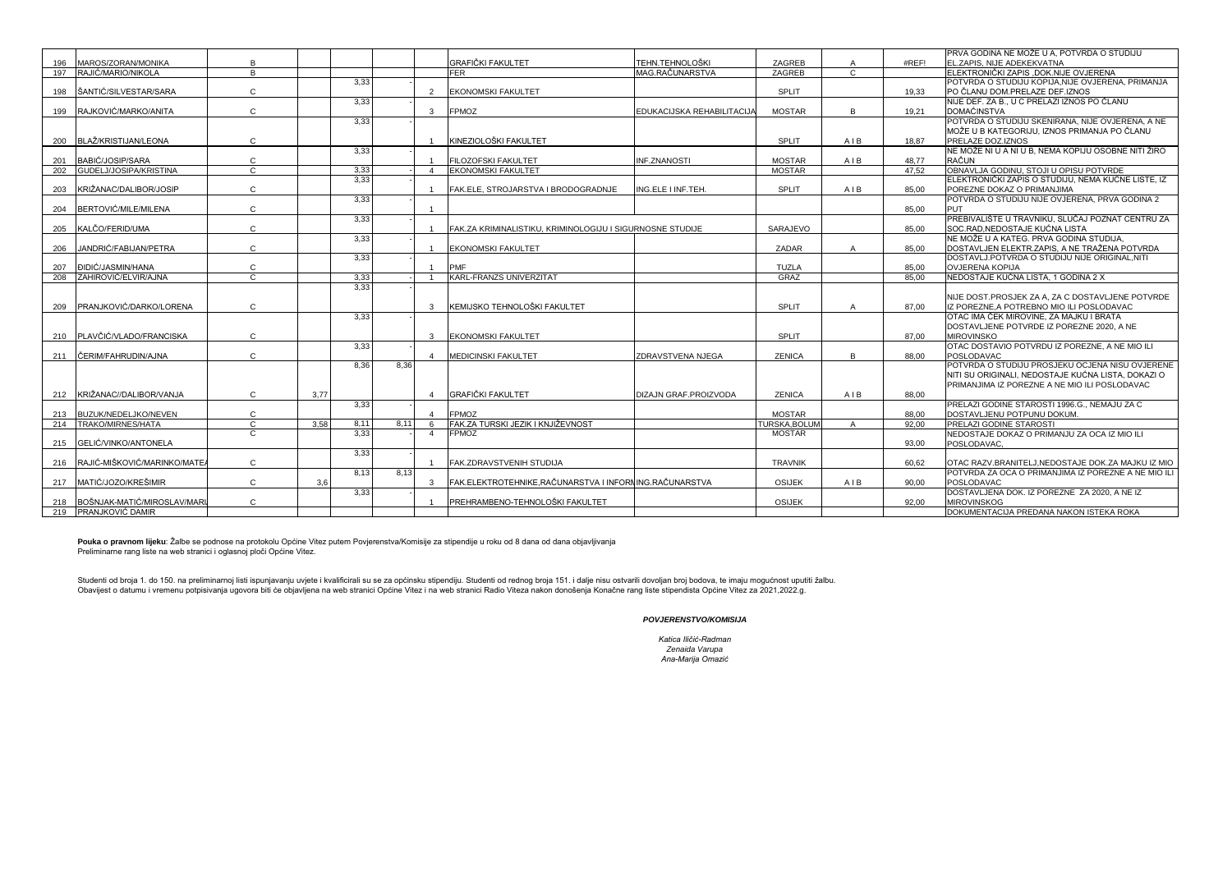| PRVA GODINA NE MOŽE U A, POTVRDA O STUDIJU<br><b>GRAFIČKI FAKULTET</b><br>TEHN.TEHNOLOŠKI<br>ZAGREB<br>#REF!<br>MAROS/ZORAN/MONIKA<br>B<br>$\overline{A}$<br>EL.ZAPIS. NIJE ADEKEKVATNA<br>196<br>B.<br>ZAGREB<br>197<br>RAJIĆ/MARIO/NIKOLA<br><b>FER</b><br>MAG.RAČUNARSTVA<br>$\mathbf{C}$<br>ELEKTRONIČKI ZAPIS .DOK.NIJE OVJERENA<br>3,33<br>POTVRDA O STUDIJU KOPIJA.NIJE OVJERENA, PRIMANJA<br>ŠANTIĆ/SILVESTAR/SARA<br>$\mathbf{C}$<br>SPLIT<br>PO ČLANU DOM.PRELAZE DEF.IZNOS<br>198<br>$\mathcal{D}$<br><b>IEKONOMSKI FAKULTET</b><br>19.33<br>NIJE DEF. ZA B., U C PRELAZI IZNOS PO ČLANU<br>3,33<br>RAJKOVIĆ/MARKO/ANITA<br>$\mathsf{C}$<br>FPMOZ<br>DOMAĆINSTVA<br>199<br><b>MOSTAR</b><br>B<br>$\mathbf{3}$<br>EDUKACIJSKA REHABILITACIJA<br>19.21<br>3,33<br>POTVRDA O STUDIJU SKENIRANA, NIJE OVJERENA, A NE<br>MOŽE U B KATEGORIJU, IZNOS PRIMANJA PO ČLANU<br>KINEZIOLOŠKI FAKULTET<br>BLAŽ/KRISTIJAN/LEONA<br>$\mathbf{C}$<br>SPLIT<br>AIB<br>18.87<br>PRELAZE DOZ.IZNOS<br>200<br>NE MOŽE NI U A NI U B, NEMA KOPIJU OSOBNE NITI ŽIRO<br>3,33<br><b>MOSTAR</b><br>AIB<br>RAČUN<br>BABIĆ/JOSIP/SARA<br>C<br><b>FILOZOFSKI FAKULTET</b><br><b>INF.ZNANOSTI</b><br>48.77<br>201 |  |
|-------------------------------------------------------------------------------------------------------------------------------------------------------------------------------------------------------------------------------------------------------------------------------------------------------------------------------------------------------------------------------------------------------------------------------------------------------------------------------------------------------------------------------------------------------------------------------------------------------------------------------------------------------------------------------------------------------------------------------------------------------------------------------------------------------------------------------------------------------------------------------------------------------------------------------------------------------------------------------------------------------------------------------------------------------------------------------------------------------------------------------------------------------------------------------------------------|--|
|                                                                                                                                                                                                                                                                                                                                                                                                                                                                                                                                                                                                                                                                                                                                                                                                                                                                                                                                                                                                                                                                                                                                                                                                 |  |
|                                                                                                                                                                                                                                                                                                                                                                                                                                                                                                                                                                                                                                                                                                                                                                                                                                                                                                                                                                                                                                                                                                                                                                                                 |  |
|                                                                                                                                                                                                                                                                                                                                                                                                                                                                                                                                                                                                                                                                                                                                                                                                                                                                                                                                                                                                                                                                                                                                                                                                 |  |
|                                                                                                                                                                                                                                                                                                                                                                                                                                                                                                                                                                                                                                                                                                                                                                                                                                                                                                                                                                                                                                                                                                                                                                                                 |  |
|                                                                                                                                                                                                                                                                                                                                                                                                                                                                                                                                                                                                                                                                                                                                                                                                                                                                                                                                                                                                                                                                                                                                                                                                 |  |
|                                                                                                                                                                                                                                                                                                                                                                                                                                                                                                                                                                                                                                                                                                                                                                                                                                                                                                                                                                                                                                                                                                                                                                                                 |  |
|                                                                                                                                                                                                                                                                                                                                                                                                                                                                                                                                                                                                                                                                                                                                                                                                                                                                                                                                                                                                                                                                                                                                                                                                 |  |
|                                                                                                                                                                                                                                                                                                                                                                                                                                                                                                                                                                                                                                                                                                                                                                                                                                                                                                                                                                                                                                                                                                                                                                                                 |  |
|                                                                                                                                                                                                                                                                                                                                                                                                                                                                                                                                                                                                                                                                                                                                                                                                                                                                                                                                                                                                                                                                                                                                                                                                 |  |
|                                                                                                                                                                                                                                                                                                                                                                                                                                                                                                                                                                                                                                                                                                                                                                                                                                                                                                                                                                                                                                                                                                                                                                                                 |  |
|                                                                                                                                                                                                                                                                                                                                                                                                                                                                                                                                                                                                                                                                                                                                                                                                                                                                                                                                                                                                                                                                                                                                                                                                 |  |
| $\mathbf{C}$<br>GUDELJ/JOSIPA/KRISTINA<br>3.33<br><b>MOSTAR</b><br>47.52<br>OBNAVLJA GODINU. STOJI U OPISU POTVRDE<br><b>EKONOMSKI FAKULTET</b><br>202<br>$\overline{a}$                                                                                                                                                                                                                                                                                                                                                                                                                                                                                                                                                                                                                                                                                                                                                                                                                                                                                                                                                                                                                        |  |
| 3,33<br>ELEKTRONIČKI ZAPIS O STUDIJU, NEMA KUĆNE LISTE, IZ                                                                                                                                                                                                                                                                                                                                                                                                                                                                                                                                                                                                                                                                                                                                                                                                                                                                                                                                                                                                                                                                                                                                      |  |
| $\mathsf{C}$<br>SPLIT<br>AIB<br>KRIŽANAC/DALIBOR/JOSIP<br>FAK.ELE, STROJARSTVA I BRODOGRADNJE<br>ING.ELE I INF.TEH.<br>POREZNE DOKAZ O PRIMANJIMA<br>85.00<br>203                                                                                                                                                                                                                                                                                                                                                                                                                                                                                                                                                                                                                                                                                                                                                                                                                                                                                                                                                                                                                               |  |
| 3,33<br>POTVRDA O STUDIJU NIJE OVJERENA, PRVA GODINA 2                                                                                                                                                                                                                                                                                                                                                                                                                                                                                                                                                                                                                                                                                                                                                                                                                                                                                                                                                                                                                                                                                                                                          |  |
| $\mathsf{C}$<br>BERTOVIĆ/MILE/MILENA<br><b>PUT</b><br>85.00<br>204                                                                                                                                                                                                                                                                                                                                                                                                                                                                                                                                                                                                                                                                                                                                                                                                                                                                                                                                                                                                                                                                                                                              |  |
| PREBIVALIŠTE U TRAVNIKU, SLUČAJ POZNAT CENTRU ZA<br>3,33                                                                                                                                                                                                                                                                                                                                                                                                                                                                                                                                                                                                                                                                                                                                                                                                                                                                                                                                                                                                                                                                                                                                        |  |
| $\mathbf{C}$<br>KALČO/FERID/UMA<br>SARAJEVO<br>SOC.RAD, NEDOSTAJE KUĆNA LISTA<br>FAK.ZA KRIMINALISTIKU, KRIMINOLOGIJU I SIGURNOSNE STUDIJE<br>85.00<br>205                                                                                                                                                                                                                                                                                                                                                                                                                                                                                                                                                                                                                                                                                                                                                                                                                                                                                                                                                                                                                                      |  |
| NE MOŽE U A KATEG. PRVA GODINA STUDIJA,<br>3,33                                                                                                                                                                                                                                                                                                                                                                                                                                                                                                                                                                                                                                                                                                                                                                                                                                                                                                                                                                                                                                                                                                                                                 |  |
| $\mathbf{C}$<br>ZADAR<br>JANDRIĆ/FABIJAN/PETRA<br>DOSTAVLJEN ELEKTR.ZAPIS, A NE TRAŽENA POTVRDA<br>206<br><b>EKONOMSKI FAKULTET</b><br>$\overline{A}$<br>85.00                                                                                                                                                                                                                                                                                                                                                                                                                                                                                                                                                                                                                                                                                                                                                                                                                                                                                                                                                                                                                                  |  |
| 3,33<br>DOSTAVLJ.POTVRDA O STUDIJU NIJE ORIGINAL, NITI                                                                                                                                                                                                                                                                                                                                                                                                                                                                                                                                                                                                                                                                                                                                                                                                                                                                                                                                                                                                                                                                                                                                          |  |
| PMF<br>TUZLA<br>C<br><b>OVJERENA KOPIJA</b><br><b><i><u>DIDIC/JASMIN/HANA</u></i></b><br>85,00<br>207                                                                                                                                                                                                                                                                                                                                                                                                                                                                                                                                                                                                                                                                                                                                                                                                                                                                                                                                                                                                                                                                                           |  |
| $\overline{c}$<br>3.33<br>ZAHIROVIĆ/ELVIR/AJNA<br>KARL-FRANZS UNIVERZITAT<br>GRAZ<br>NEDOSTAJE KUĆNA LISTA, 1 GODINA 2 X<br>85.00<br>208                                                                                                                                                                                                                                                                                                                                                                                                                                                                                                                                                                                                                                                                                                                                                                                                                                                                                                                                                                                                                                                        |  |
| 3.33                                                                                                                                                                                                                                                                                                                                                                                                                                                                                                                                                                                                                                                                                                                                                                                                                                                                                                                                                                                                                                                                                                                                                                                            |  |
| NIJE DOST.PROSJEK ZA A. ZA C DOSTAVLJENE POTVRDE                                                                                                                                                                                                                                                                                                                                                                                                                                                                                                                                                                                                                                                                                                                                                                                                                                                                                                                                                                                                                                                                                                                                                |  |
| PRANJKOVIĆ/DARKO/LORENA<br>C<br>KEMIJSKO TEHNOLOŠKI FAKULTET<br>SPLIT<br>209<br>$\mathbf{3}$<br>87.00<br>IZ POREZNE.A POTREBNO MIO ILI POSLODAVAC<br>A                                                                                                                                                                                                                                                                                                                                                                                                                                                                                                                                                                                                                                                                                                                                                                                                                                                                                                                                                                                                                                          |  |
| OTAC IMA ČEK MIROVINE. ZA MAJKU I BRATA<br>3.33                                                                                                                                                                                                                                                                                                                                                                                                                                                                                                                                                                                                                                                                                                                                                                                                                                                                                                                                                                                                                                                                                                                                                 |  |
| DOSTAVLJENE POTVRDE IZ POREZNE 2020. A NE                                                                                                                                                                                                                                                                                                                                                                                                                                                                                                                                                                                                                                                                                                                                                                                                                                                                                                                                                                                                                                                                                                                                                       |  |
| PLAVČIĆ/VLADO/FRANCISKA<br>$\mathsf{C}$<br>SPLIT<br><b>EKONOMSKI FAKULTET</b><br>87.00<br><b>MIROVINSKO</b><br>3<br>210                                                                                                                                                                                                                                                                                                                                                                                                                                                                                                                                                                                                                                                                                                                                                                                                                                                                                                                                                                                                                                                                         |  |
| 3,33<br>OTAC DOSTAVIO POTVRDU IZ POREZNE, A NE MIO ILI                                                                                                                                                                                                                                                                                                                                                                                                                                                                                                                                                                                                                                                                                                                                                                                                                                                                                                                                                                                                                                                                                                                                          |  |
| C<br>R<br><b>ZENICA</b><br>POSLODAVAC<br>ČERIM/FAHRUDIN/AJNA<br><b>MEDICINSKI FAKULTET</b><br>ZDRAVSTVENA NJEGA<br>88.00<br>211<br>$\overline{a}$                                                                                                                                                                                                                                                                                                                                                                                                                                                                                                                                                                                                                                                                                                                                                                                                                                                                                                                                                                                                                                               |  |
| POTVRDA O STUDIJU PROSJEKU OCJENA NISU OVJERENE<br>8,36<br>8,36                                                                                                                                                                                                                                                                                                                                                                                                                                                                                                                                                                                                                                                                                                                                                                                                                                                                                                                                                                                                                                                                                                                                 |  |
| NITI SU ORIGINALI, NEDOSTAJE KUĆNA LISTA, DOKAZI O                                                                                                                                                                                                                                                                                                                                                                                                                                                                                                                                                                                                                                                                                                                                                                                                                                                                                                                                                                                                                                                                                                                                              |  |
| PRIMANJIMA IZ POREZNE A NE MIO ILI POSLODAVAC                                                                                                                                                                                                                                                                                                                                                                                                                                                                                                                                                                                                                                                                                                                                                                                                                                                                                                                                                                                                                                                                                                                                                   |  |
| <b>GRAFIČKI FAKULTET</b><br><b>ZENICA</b><br>AIB<br>212 KRIŽANAC//DALIBOR/VANJA<br>C<br>3,77<br>88.00<br>DIZAJN GRAF.PROIZVODA<br>$\overline{a}$                                                                                                                                                                                                                                                                                                                                                                                                                                                                                                                                                                                                                                                                                                                                                                                                                                                                                                                                                                                                                                                |  |
| 3,33<br>PRELAZI GODINE STAROSTI 1996.G., NEMAJU ZA C                                                                                                                                                                                                                                                                                                                                                                                                                                                                                                                                                                                                                                                                                                                                                                                                                                                                                                                                                                                                                                                                                                                                            |  |
| $\mathsf{C}$<br>FPMOZ<br><b>MOSTAR</b><br>BUZUK/NEDELJKO/NEVEN<br>88.00<br>DOSTAVLJENU POTPUNU DOKUM.<br>213<br>$\boldsymbol{\Lambda}$                                                                                                                                                                                                                                                                                                                                                                                                                                                                                                                                                                                                                                                                                                                                                                                                                                                                                                                                                                                                                                                          |  |
| 8.11<br>TRAKO/MIRNES/HATA<br>$\mathbf{C}$<br>3.58<br>8.11<br>FAK.ZA TURSKI JEZIK I KNJIŽEVNOST<br><b>TURSKA, BOLUM</b><br>PRELAZI GODINE STAROSTI<br>214<br>6<br>92.00<br>$\overline{A}$                                                                                                                                                                                                                                                                                                                                                                                                                                                                                                                                                                                                                                                                                                                                                                                                                                                                                                                                                                                                        |  |
| C<br>3,33<br><b>FPMOZ</b><br><b>MOSTAR</b><br>$\overline{4}$<br>NEDOSTAJE DOKAZ O PRIMANJU ZA OCA IZ MIO ILI                                                                                                                                                                                                                                                                                                                                                                                                                                                                                                                                                                                                                                                                                                                                                                                                                                                                                                                                                                                                                                                                                    |  |
| 215 GELIĆ/VINKO/ANTONELA<br>93.00<br>POSLODAVAC,                                                                                                                                                                                                                                                                                                                                                                                                                                                                                                                                                                                                                                                                                                                                                                                                                                                                                                                                                                                                                                                                                                                                                |  |
| 3,33                                                                                                                                                                                                                                                                                                                                                                                                                                                                                                                                                                                                                                                                                                                                                                                                                                                                                                                                                                                                                                                                                                                                                                                            |  |
| C<br>RAJIĆ-MIŠKOVIĆ/MARINKO/MATE.<br><b>TRAVNIK</b><br>FAK.ZDRAVSTVENIH STUDIJA<br>60.62<br>OTAC RAZV.BRANITELJ.NEDOSTAJE DOK.ZA MAJKU IZ MIO<br>216                                                                                                                                                                                                                                                                                                                                                                                                                                                                                                                                                                                                                                                                                                                                                                                                                                                                                                                                                                                                                                            |  |
| 8.13<br>8.13<br>POTVRDA ZA OCA O PRIMANJIMA IZ POREZNE A NE MIO ILI                                                                                                                                                                                                                                                                                                                                                                                                                                                                                                                                                                                                                                                                                                                                                                                                                                                                                                                                                                                                                                                                                                                             |  |
| MATIĆ/JOZO/KREŠIMIR<br>$\mathbf{C}$<br>3.6<br>FAK.ELEKTROTEHNIKE,RAČUNARSTVA I INFORNING.RAČUNARSTVA<br>OSIJEK<br>AIB<br>POSLODAVAC<br>$\mathbf{3}$<br>90.00<br>217                                                                                                                                                                                                                                                                                                                                                                                                                                                                                                                                                                                                                                                                                                                                                                                                                                                                                                                                                                                                                             |  |
| DOSTAVLJENA DOK. IZ POREZNE ZA 2020, A NE IZ<br>3,33                                                                                                                                                                                                                                                                                                                                                                                                                                                                                                                                                                                                                                                                                                                                                                                                                                                                                                                                                                                                                                                                                                                                            |  |
| C<br><b>OSIJEK</b><br>PREHRAMBENO-TEHNOLOŠKI FAKULTET<br>BOŠNJAK-MATIČ/MIROSLAV/MARI<br>92.00<br><b>IMIROVINSKOG</b><br>218                                                                                                                                                                                                                                                                                                                                                                                                                                                                                                                                                                                                                                                                                                                                                                                                                                                                                                                                                                                                                                                                     |  |
| <b>IPRANJKOVIĆ DAMIR</b><br>DOKUMENTACIJA PREDANA NAKON ISTEKA ROKA<br>219                                                                                                                                                                                                                                                                                                                                                                                                                                                                                                                                                                                                                                                                                                                                                                                                                                                                                                                                                                                                                                                                                                                      |  |

**Pouka o pravnom lijeku**: Žalbe se podnose na protokolu Općine Vitez putem Povjerenstva/Komisije za stipendije u roku od 8 dana od dana objavljivanja<br>Preliminarne rang liste na web stranici i oglasnoj ploči Općine Vitez.

Studenti od broja 1. do 150. na preliminarnoj listi ispunjavanju uvjete i kvalificirali su se za općinsku stipendiju. Studenti od rednog broja 151. i dalje nisu ostvarili dovoljan broj bodova, te imaju mogućnost uputiti ža Obavijest o datumu i vremenu potpisivanja ugovora biti će objavljena na web stranici Općine Vitez i na web stranici Radio Viteza nakon donošenja Konačne rang liste stipendista Općine Vitez za 2021,2022.g.

*POVJERENSTVO/KOMISIJA*

*Katica Iličić-Radman Zenaida Varupa Ana-Marija Omazić*